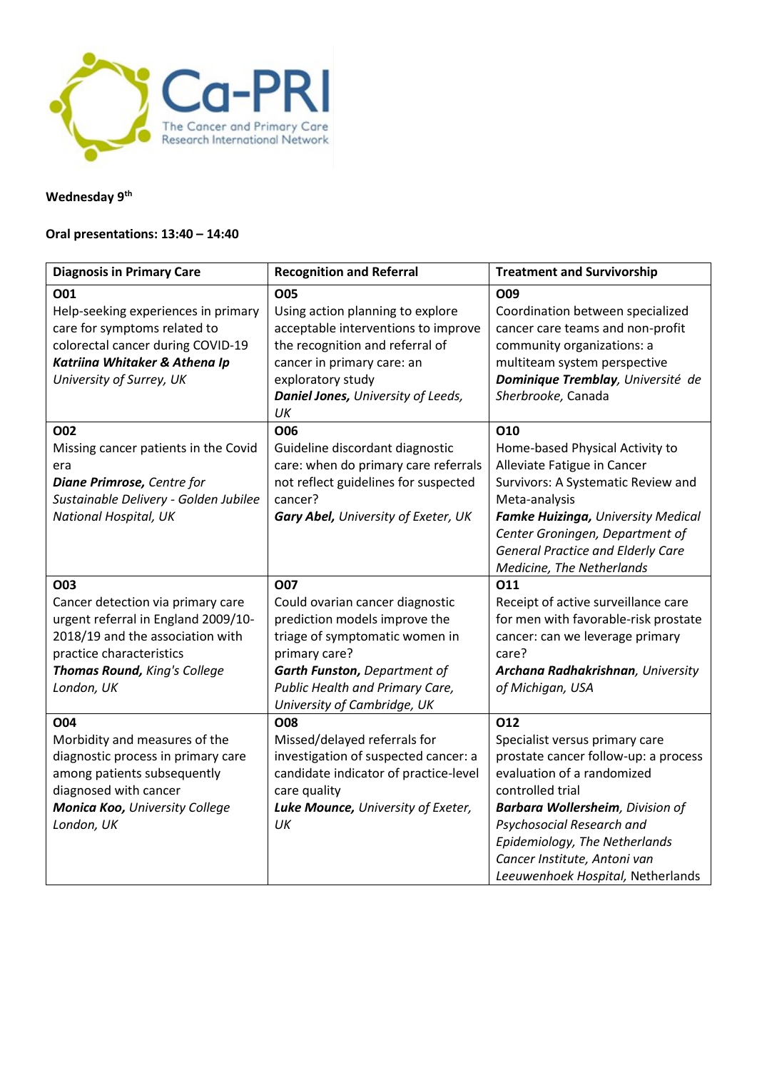

# **Wednesday 9th**

# **Oral presentations: 13:40 – 14:40**

| <b>Diagnosis in Primary Care</b>                                                                                                                                                                     | <b>Recognition and Referral</b>                                                                                                                                                                                                     | <b>Treatment and Survivorship</b>                                                                                                                                                                                                                                                                              |
|------------------------------------------------------------------------------------------------------------------------------------------------------------------------------------------------------|-------------------------------------------------------------------------------------------------------------------------------------------------------------------------------------------------------------------------------------|----------------------------------------------------------------------------------------------------------------------------------------------------------------------------------------------------------------------------------------------------------------------------------------------------------------|
| <b>O01</b><br>Help-seeking experiences in primary<br>care for symptoms related to<br>colorectal cancer during COVID-19<br>Katriina Whitaker & Athena Ip<br>University of Surrey, UK                  | <b>O05</b><br>Using action planning to explore<br>acceptable interventions to improve<br>the recognition and referral of<br>cancer in primary care: an<br>exploratory study<br>Daniel Jones, University of Leeds,<br>UK             | O09<br>Coordination between specialized<br>cancer care teams and non-profit<br>community organizations: a<br>multiteam system perspective<br>Dominique Tremblay, Université de<br>Sherbrooke, Canada                                                                                                           |
| <b>O02</b><br>Missing cancer patients in the Covid<br>era<br>Diane Primrose, Centre for<br>Sustainable Delivery - Golden Jubilee<br><b>National Hospital, UK</b>                                     | O06<br>Guideline discordant diagnostic<br>care: when do primary care referrals<br>not reflect guidelines for suspected<br>cancer?<br>Gary Abel, University of Exeter, UK                                                            | O10<br>Home-based Physical Activity to<br>Alleviate Fatigue in Cancer<br>Survivors: A Systematic Review and<br>Meta-analysis<br>Famke Huizinga, University Medical<br>Center Groningen, Department of<br><b>General Practice and Elderly Care</b><br>Medicine, The Netherlands                                 |
| <b>O03</b><br>Cancer detection via primary care<br>urgent referral in England 2009/10-<br>2018/19 and the association with<br>practice characteristics<br>Thomas Round, King's College<br>London, UK | <b>O07</b><br>Could ovarian cancer diagnostic<br>prediction models improve the<br>triage of symptomatic women in<br>primary care?<br>Garth Funston, Department of<br>Public Health and Primary Care,<br>University of Cambridge, UK | 011<br>Receipt of active surveillance care<br>for men with favorable-risk prostate<br>cancer: can we leverage primary<br>care?<br>Archana Radhakrishnan, University<br>of Michigan, USA                                                                                                                        |
| O04<br>Morbidity and measures of the<br>diagnostic process in primary care<br>among patients subsequently<br>diagnosed with cancer<br>Monica Koo, University College<br>London, UK                   | <b>O08</b><br>Missed/delayed referrals for<br>investigation of suspected cancer: a<br>candidate indicator of practice-level<br>care quality<br>Luke Mounce, University of Exeter,<br>UK                                             | 012<br>Specialist versus primary care<br>prostate cancer follow-up: a process<br>evaluation of a randomized<br>controlled trial<br><b>Barbara Wollersheim</b> , Division of<br>Psychosocial Research and<br>Epidemiology, The Netherlands<br>Cancer Institute, Antoni van<br>Leeuwenhoek Hospital, Netherlands |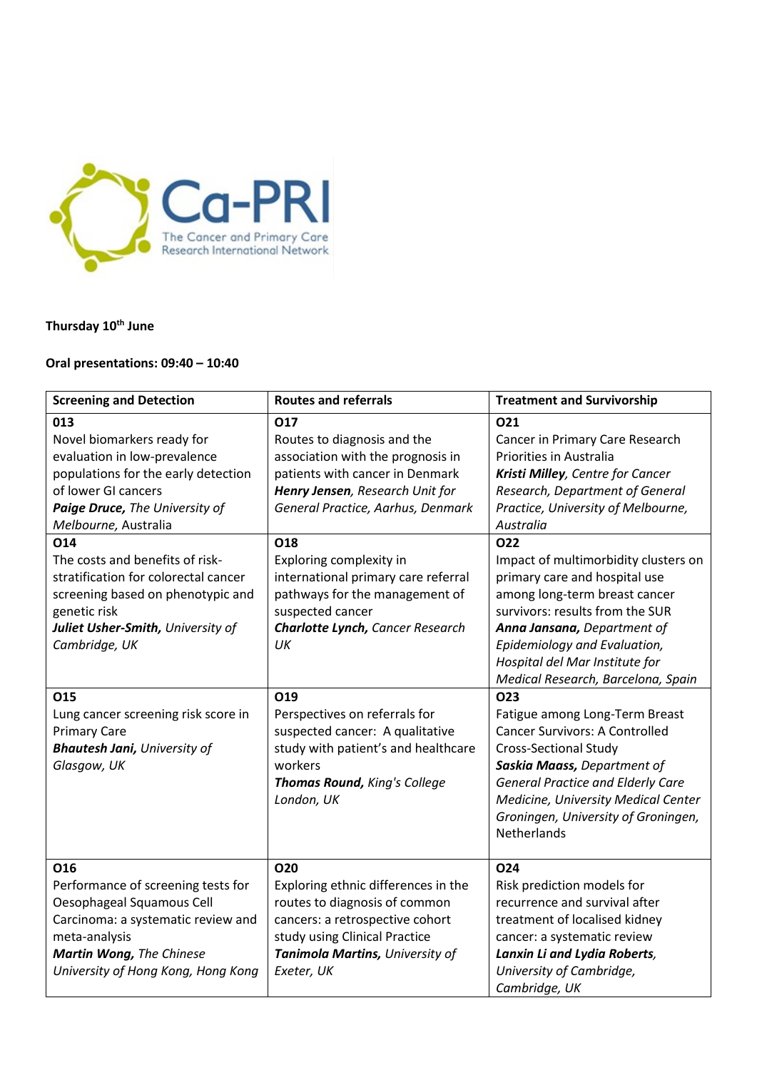

# **Thursday 10th June**

# **Oral presentations: 09:40 – 10:40**

| <b>Screening and Detection</b>                                                                                                                                                                                                                                                                                                                                                         | <b>Routes and referrals</b>                                                                                                                                                                                                                                                                                                                                        | <b>Treatment and Survivorship</b>                                                                                                                                                                                                                                                                                                                                                                                                                              |
|----------------------------------------------------------------------------------------------------------------------------------------------------------------------------------------------------------------------------------------------------------------------------------------------------------------------------------------------------------------------------------------|--------------------------------------------------------------------------------------------------------------------------------------------------------------------------------------------------------------------------------------------------------------------------------------------------------------------------------------------------------------------|----------------------------------------------------------------------------------------------------------------------------------------------------------------------------------------------------------------------------------------------------------------------------------------------------------------------------------------------------------------------------------------------------------------------------------------------------------------|
| 013<br>Novel biomarkers ready for<br>evaluation in low-prevalence<br>populations for the early detection<br>of lower GI cancers<br>Paige Druce, The University of<br>Melbourne, Australia<br>O14<br>The costs and benefits of risk-<br>stratification for colorectal cancer<br>screening based on phenotypic and<br>genetic risk<br>Juliet Usher-Smith, University of<br>Cambridge, UK | O17<br>Routes to diagnosis and the<br>association with the prognosis in<br>patients with cancer in Denmark<br>Henry Jensen, Research Unit for<br>General Practice, Aarhus, Denmark<br>O18<br>Exploring complexity in<br>international primary care referral<br>pathways for the management of<br>suspected cancer<br><b>Charlotte Lynch, Cancer Research</b><br>UK | 021<br>Cancer in Primary Care Research<br><b>Priorities in Australia</b><br>Kristi Milley, Centre for Cancer<br>Research, Department of General<br>Practice, University of Melbourne,<br>Australia<br><b>O22</b><br>Impact of multimorbidity clusters on<br>primary care and hospital use<br>among long-term breast cancer<br>survivors: results from the SUR<br>Anna Jansana, Department of<br>Epidemiology and Evaluation,<br>Hospital del Mar Institute for |
| 015<br>Lung cancer screening risk score in<br><b>Primary Care</b><br><b>Bhautesh Jani, University of</b><br>Glasgow, UK<br>O16                                                                                                                                                                                                                                                         | O19<br>Perspectives on referrals for<br>suspected cancer: A qualitative<br>study with patient's and healthcare<br>workers<br>Thomas Round, King's College<br>London, UK<br><b>O20</b>                                                                                                                                                                              | Medical Research, Barcelona, Spain<br>O <sub>23</sub><br>Fatigue among Long-Term Breast<br><b>Cancer Survivors: A Controlled</b><br><b>Cross-Sectional Study</b><br>Saskia Maass, Department of<br><b>General Practice and Elderly Care</b><br>Medicine, University Medical Center<br>Groningen, University of Groningen,<br><b>Netherlands</b><br>024                                                                                                         |
| Performance of screening tests for<br>Oesophageal Squamous Cell<br>Carcinoma: a systematic review and<br>meta-analysis<br>Martin Wong, The Chinese<br>University of Hong Kong, Hong Kong                                                                                                                                                                                               | Exploring ethnic differences in the<br>routes to diagnosis of common<br>cancers: a retrospective cohort<br>study using Clinical Practice<br>Tanimola Martins, University of<br>Exeter, UK                                                                                                                                                                          | Risk prediction models for<br>recurrence and survival after<br>treatment of localised kidney<br>cancer: a systematic review<br>Lanxin Li and Lydia Roberts,<br>University of Cambridge,<br>Cambridge, UK                                                                                                                                                                                                                                                       |